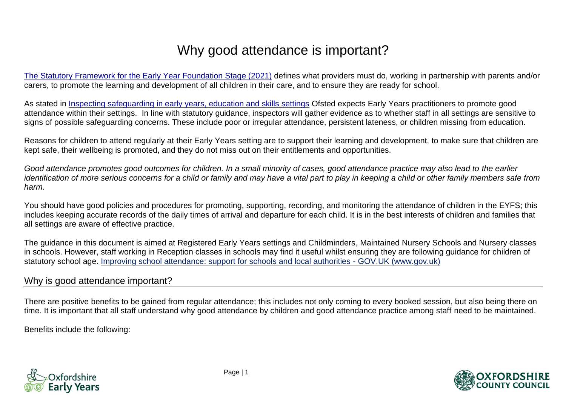# Why good attendance is important?

[The Statutory Framework for the Early Year Foundation Stage \(2021\)](https://assets.publishing.service.gov.uk/government/uploads/system/uploads/attachment_data/file/974907/EYFS_framework_-_March_2021.pdf) defines what providers must do, working in partnership with parents and/or carers, to promote the learning and development of all children in their care, and to ensure they are ready for school.

As stated in [Inspecting safeguarding in early years, education and skills settings](https://www.gov.uk/government/publications/inspecting-safeguarding-in-early-years-education-and-skills/inspecting-safeguarding-in-early-years-education-and-skills) Ofsted expects Early Years practitioners to promote good attendance within their settings. In line with statutory guidance, inspectors will gather evidence as to whether staff in all settings are sensitive to signs of possible safeguarding concerns. These include poor or irregular attendance, persistent lateness, or children missing from education.

Reasons for children to attend regularly at their Early Years setting are to support their learning and development, to make sure that children are kept safe, their wellbeing is promoted, and they do not miss out on their entitlements and opportunities.

*Good attendance promotes good outcomes for children. In a small minority of cases, good attendance practice may also lead to the earlier identification of more serious concerns for a child or family and may have a vital part to play in keeping a child or other family members safe from harm.* 

You should have good policies and procedures for promoting, supporting, recording, and monitoring the attendance of children in the EYFS; this includes keeping accurate records of the daily times of arrival and departure for each child. It is in the best interests of children and families that all settings are aware of effective practice.

The guidance in this document is aimed at Registered Early Years settings and Childminders, Maintained Nursery Schools and Nursery classes in schools. However, staff working in Reception classes in schools may find it useful whilst ensuring they are following guidance for children of statutory school age. [Improving school attendance: support for schools and local authorities -](https://www.gov.uk/government/publications/school-attendance/framework-for-securing-full-attendance-actions-for-schools-and-local-authorities) GOV.UK (www.gov.uk)

## Why is good attendance important?

There are positive benefits to be gained from regular attendance; this includes not only coming to every booked session, but also being there on time. It is important that all staff understand why good attendance by children and good attendance practice among staff need to be maintained.

Benefits include the following:



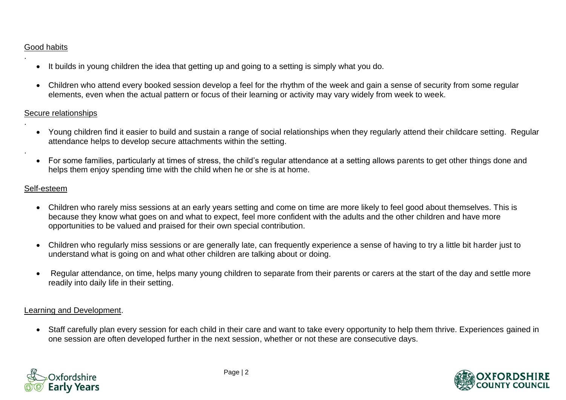#### Good habits

.

.

.

- It builds in young children the idea that getting up and going to a setting is simply what you do.
- Children who attend every booked session develop a feel for the rhythm of the week and gain a sense of security from some regular elements, even when the actual pattern or focus of their learning or activity may vary widely from week to week.

#### Secure relationships

- Young children find it easier to build and sustain a range of social relationships when they regularly attend their childcare setting. Regular attendance helps to develop secure attachments within the setting.
- For some families, particularly at times of stress, the child's regular attendance at a setting allows parents to get other things done and helps them enjoy spending time with the child when he or she is at home.

#### Self-esteem

- Children who rarely miss sessions at an early years setting and come on time are more likely to feel good about themselves. This is because they know what goes on and what to expect, feel more confident with the adults and the other children and have more opportunities to be valued and praised for their own special contribution.
- Children who regularly miss sessions or are generally late, can frequently experience a sense of having to try a little bit harder just to understand what is going on and what other children are talking about or doing.
- Regular attendance, on time, helps many young children to separate from their parents or carers at the start of the day and settle more readily into daily life in their setting.

#### Learning and Development.

• Staff carefully plan every session for each child in their care and want to take every opportunity to help them thrive. Experiences gained in one session are often developed further in the next session, whether or not these are consecutive days.



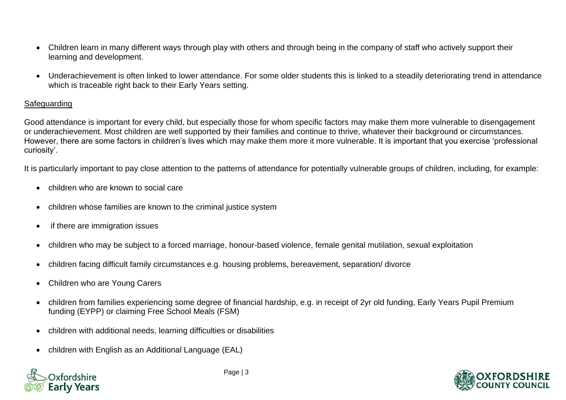- Children learn in many different ways through play with others and through being in the company of staff who actively support their learning and development.
- Underachievement is often linked to lower attendance. For some older students this is linked to a steadily deteriorating trend in attendance which is traceable right back to their Early Years setting.

#### **Safeguarding**

Good attendance is important for every child, but especially those for whom specific factors may make them more vulnerable to disengagement or underachievement. Most children are well supported by their families and continue to thrive, whatever their background or circumstances. However, there are some factors in children's lives which may make them more it more vulnerable. It is important that you exercise 'professional curiosity'.

It is particularly important to pay close attention to the patterns of attendance for potentially vulnerable groups of children, including, for example:

- children who are known to social care
- children whose families are known to the criminal justice system
- if there are immigration issues
- children who may be subject to a forced marriage, honour-based violence, female genital mutilation, sexual exploitation
- children facing difficult family circumstances e.g. housing problems, bereavement, separation/ divorce
- Children who are Young Carers
- children from families experiencing some degree of financial hardship, e.g. in receipt of 2yr old funding, Early Years Pupil Premium funding (EYPP) or claiming Free School Meals (FSM)
- children with additional needs, learning difficulties or disabilities
- children with English as an Additional Language (EAL)



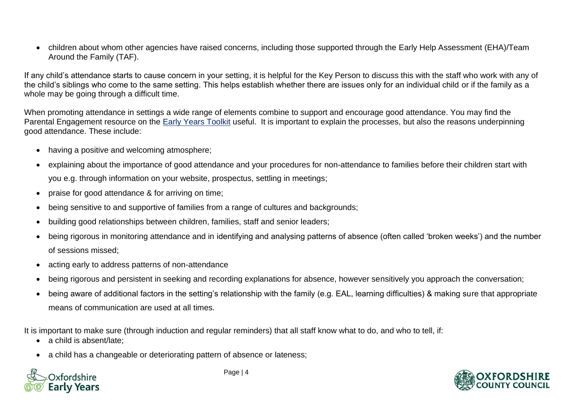• children about whom other agencies have raised concerns, including those supported through the Early Help Assessment (EHA)/Team Around the Family (TAF).

If any child's attendance starts to cause concern in your setting, it is helpful for the Key Person to discuss this with the staff who work with any of the child's siblings who come to the same setting. This helps establish whether there are issues only for an individual child or if the family as a whole may be going through a difficult time.

When promoting attendance in settings a wide range of elements combine to support and encourage good attendance. You may find the Parental Engagement resource on the [Early Years Toolkit](https://www.oxfordshire.gov.uk/business/information-providers/childrens-services-providers/support-early-years-providers/early-years-toolkit) useful. It is important to explain the processes, but also the reasons underpinning good attendance. These include:

- having a positive and welcoming atmosphere;
- explaining about the importance of good attendance and your procedures for non-attendance to families before their children start with you e.g. through information on your website, prospectus, settling in meetings;
- praise for good attendance & for arriving on time;
- being sensitive to and supportive of families from a range of cultures and backgrounds;
- building good relationships between children, families, staff and senior leaders;
- being rigorous in monitoring attendance and in identifying and analysing patterns of absence (often called 'broken weeks') and the number of sessions missed;
- acting early to address patterns of non-attendance
- being rigorous and persistent in seeking and recording explanations for absence, however sensitively you approach the conversation;
- being aware of additional factors in the setting's relationship with the family (e.g. EAL, learning difficulties) & making sure that appropriate means of communication are used at all times.

It is important to make sure (through induction and regular reminders) that all staff know what to do, and who to tell, if:

- a child is absent/late;
- a child has a changeable or deteriorating pattern of absence or lateness;



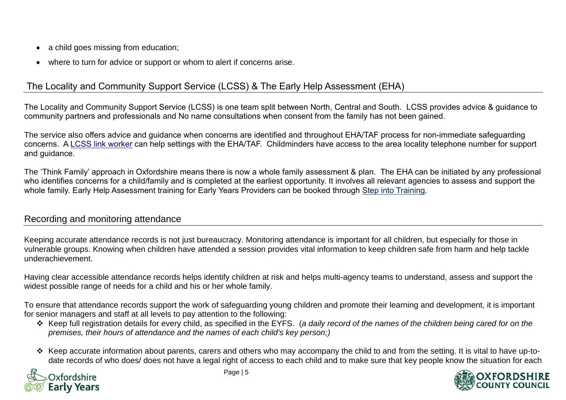- a child goes missing from education;
- where to turn for advice or support or whom to alert if concerns arise.

# The Locality and Community Support Service (LCSS) & The Early Help Assessment (EHA)

The Locality and Community Support Service (LCSS) is one team split between North, Central and South. LCSS provides advice & guidance to community partners and professionals and No name consultations when consent from the family has not been gained.

The service also offers advice and guidance when concerns are identified and throughout EHA/TAF process for non-immediate safeguarding concerns. A [LCSS link worker](https://www.oscb.org.uk/practitioners-volunteers/locality-and-community-support-service-early-help/) can help settings with the EHA/TAF. Childminders have access to the area locality telephone number for support and guidance.

The 'Think Family' approach in Oxfordshire means there is now a whole family assessment & plan. The EHA can be initiated by any professional who identifies concerns for a child/family and is completed at the earliest opportunity. It involves all relevant agencies to assess and support the whole family. Early Help Assessment training for Early Years Providers can be booked through [Step into Training.](https://oxfordshirecpdonline.com/cpd/default.asp)

#### Recording and monitoring attendance

Keeping accurate attendance records is not just bureaucracy. Monitoring attendance is important for all children, but especially for those in vulnerable groups. Knowing when children have attended a session provides vital information to keep children safe from harm and help tackle underachievement.

Having clear accessible attendance records helps identify children at risk and helps multi-agency teams to understand, assess and support the widest possible range of needs for a child and his or her whole family.

To ensure that attendance records support the work of safeguarding young children and promote their learning and development, it is important for senior managers and staff at all levels to pay attention to the following:

- ❖ Keep full registration details for every child, as specified in the EYFS. (*a daily record of the names of the children being cared for on the premises, their hours of attendance and the names of each child's key person;)*
- ❖ Keep accurate information about parents, carers and others who may accompany the child to and from the setting. It is vital to have up-todate records of who does/ does not have a legal right of access to each child and to make sure that key people know the situation for each



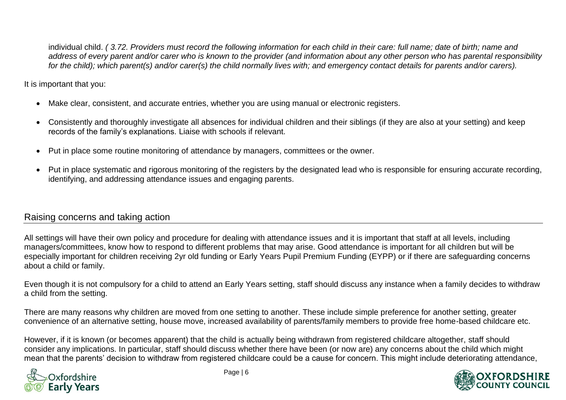individual child. *( 3.72. Providers must record the following information for each child in their care: full name; date of birth; name and address of every parent and/or carer who is known to the provider (and information about any other person who has parental responsibility for the child); which parent(s) and/or carer(s) the child normally lives with; and emergency contact details for parents and/or carers).*

It is important that you:

- Make clear, consistent, and accurate entries, whether you are using manual or electronic registers.
- Consistently and thoroughly investigate all absences for individual children and their siblings (if they are also at your setting) and keep records of the family's explanations. Liaise with schools if relevant.
- Put in place some routine monitoring of attendance by managers, committees or the owner.
- Put in place systematic and rigorous monitoring of the registers by the designated lead who is responsible for ensuring accurate recording, identifying, and addressing attendance issues and engaging parents.

## Raising concerns and taking action

All settings will have their own policy and procedure for dealing with attendance issues and it is important that staff at all levels, including managers/committees, know how to respond to different problems that may arise. Good attendance is important for all children but will be especially important for children receiving 2yr old funding or Early Years Pupil Premium Funding (EYPP) or if there are safeguarding concerns about a child or family.

Even though it is not compulsory for a child to attend an Early Years setting, staff should discuss any instance when a family decides to withdraw a child from the setting.

There are many reasons why children are moved from one setting to another. These include simple preference for another setting, greater convenience of an alternative setting, house move, increased availability of parents/family members to provide free home-based childcare etc.

However, if it is known (or becomes apparent) that the child is actually being withdrawn from registered childcare altogether, staff should consider any implications. In particular, staff should discuss whether there have been (or now are) any concerns about the child which might mean that the parents' decision to withdraw from registered childcare could be a cause for concern. This might include deteriorating attendance,



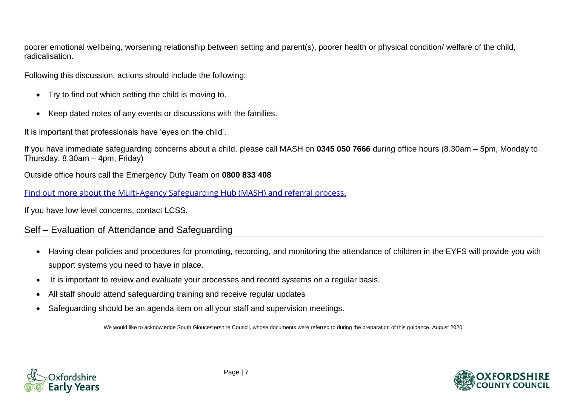poorer emotional wellbeing, worsening relationship between setting and parent(s), poorer health or physical condition/ welfare of the child, radicalisation.

Following this discussion, actions should include the following:

- Try to find out which setting the child is moving to.
- Keep dated notes of any events or discussions with the families.

It is important that professionals have 'eyes on the child'.

If you have immediate safeguarding concerns about a child, please call MASH on **0345 050 7666** during office hours (8.30am – 5pm, Monday to Thursday, 8.30am – 4pm, Friday)

Outside office hours call the Emergency Duty Team on **0800 833 408**

[Find out more about the Multi-Agency Safeguarding Hub \(MASH\) and referral process.](https://www.oxfordshire.gov.uk/business/information-providers/multi-agency-safeguarding-hub)

If you have low level concerns, contact LCSS.

## Self – Evaluation of Attendance and Safeguarding

- Having clear policies and procedures for promoting, recording, and monitoring the attendance of children in the EYFS will provide you with support systems you need to have in place.
- It is important to review and evaluate your processes and record systems on a regular basis.
- All staff should attend safeguarding training and receive regular updates
- Safeguarding should be an agenda item on all your staff and supervision meetings.

We would like to acknowledge South Gloucestershire Council, whose documents were referred to during the preparation of this guidance. August 2020



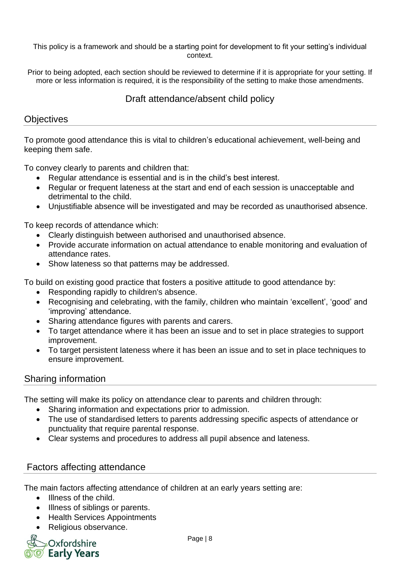This policy is a framework and should be a starting point for development to fit your setting's individual context.

Prior to being adopted, each section should be reviewed to determine if it is appropriate for your setting. If more or less information is required, it is the responsibility of the setting to make those amendments.

# Draft attendance/absent child policy

## **Objectives**

To promote good attendance this is vital to children's educational achievement, well-being and keeping them safe.

To convey clearly to parents and children that:

- Regular attendance is essential and is in the child's best interest.
- Regular or frequent lateness at the start and end of each session is unacceptable and detrimental to the child.
- Unjustifiable absence will be investigated and may be recorded as unauthorised absence.

To keep records of attendance which:

- Clearly distinguish between authorised and unauthorised absence.
- Provide accurate information on actual attendance to enable monitoring and evaluation of attendance rates.
- Show lateness so that patterns may be addressed.

To build on existing good practice that fosters a positive attitude to good attendance by:

- Responding rapidly to children's absence.
- Recognising and celebrating, with the family, children who maintain 'excellent', 'good' and 'improving' attendance.
- Sharing attendance figures with parents and carers.
- To target attendance where it has been an issue and to set in place strategies to support improvement.
- To target persistent lateness where it has been an issue and to set in place techniques to ensure improvement.

## Sharing information

The setting will make its policy on attendance clear to parents and children through:

- Sharing information and expectations prior to admission.
- The use of standardised letters to parents addressing specific aspects of attendance or punctuality that require parental response.
- Clear systems and procedures to address all pupil absence and lateness.

## Factors affecting attendance

The main factors affecting attendance of children at an early years setting are:

- Illness of the child.
- Illness of siblings or parents.
- Health Services Appointments
- Religious observance.